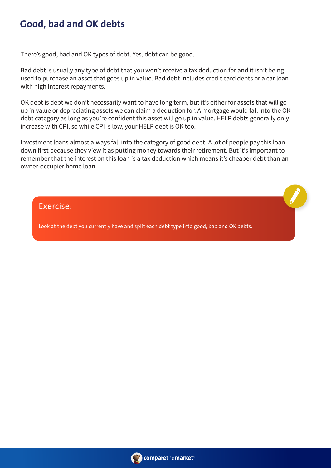## **Good, bad and OK debts**

There's good, bad and OK types of debt. Yes, debt can be good.

Bad debt is usually any type of debt that you won't receive a tax deduction for and it isn't being used to purchase an asset that goes up in value. Bad debt includes credit card debts or a car loan with high interest repayments.

OK debt is debt we don't necessarily want to have long term, but it's either for assets that will go up in value or depreciating assets we can claim a deduction for. A mortgage would fall into the OK debt category as long as you're confident this asset will go up in value. HELP debts generally only increase with CPI, so while CPI is low, your HELP debt is OK too.

Investment loans almost always fall into the category of good debt. A lot of people pay this loan down first because they view it as putting money towards their retirement. But it's important to remember that the interest on this loan is a tax deduction which means it's cheaper debt than an owner-occupier home loan.

Exercise:

Look at the debt you currently have and split each debt type into good, bad and OK debts.

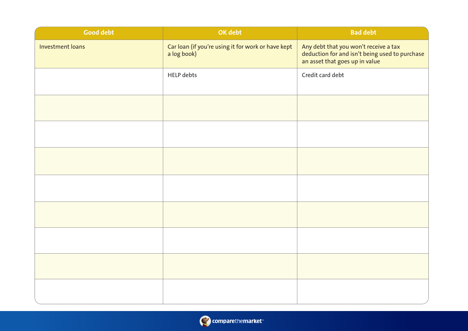| <b>Good debt</b> | OK debt                                                           | <b>Bad debt</b>                                                                                                           |  |  |
|------------------|-------------------------------------------------------------------|---------------------------------------------------------------------------------------------------------------------------|--|--|
| Investment loans | Car loan (if you're using it for work or have kept<br>a log book) | Any debt that you won't receive a tax<br>deduction for and isn't being used to purchase<br>an asset that goes up in value |  |  |
|                  | <b>HELP</b> debts                                                 | Credit card debt                                                                                                          |  |  |
|                  |                                                                   |                                                                                                                           |  |  |
|                  |                                                                   |                                                                                                                           |  |  |
|                  |                                                                   |                                                                                                                           |  |  |
|                  |                                                                   |                                                                                                                           |  |  |
|                  |                                                                   |                                                                                                                           |  |  |
|                  |                                                                   |                                                                                                                           |  |  |
|                  |                                                                   |                                                                                                                           |  |  |
|                  |                                                                   |                                                                                                                           |  |  |